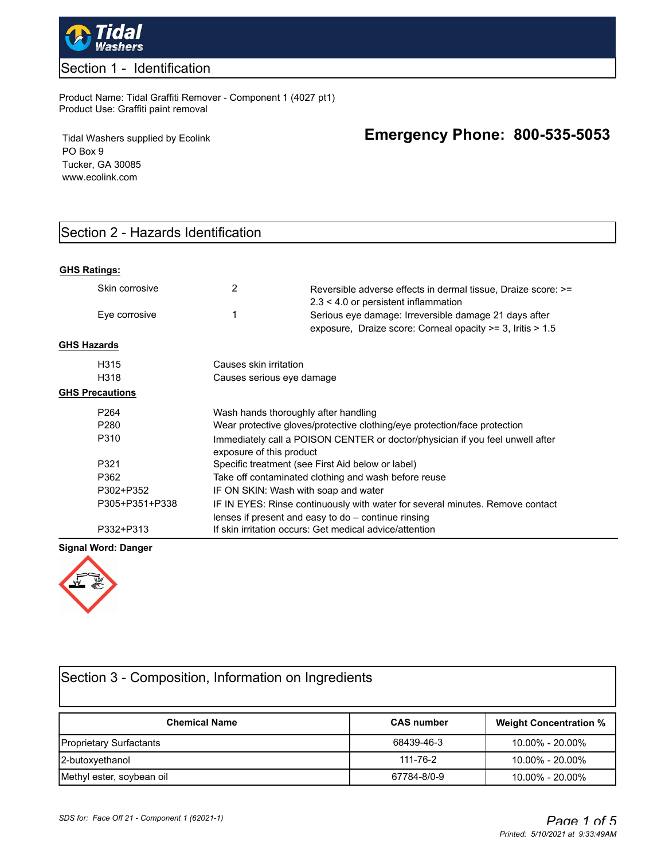

# Section 1 - Identification

Product Name: Tidal Graffiti Remover - Component 1 (4027 pt1) Product Use: Graffiti paint removal

Tidal Washers supplied by Ecolink PO Box 9 Tucker, GA 30085 www.ecolink.com

# **Emergency Phone: 800-535-5053**

# Section 2 - Hazards Identification

### **GHS Ratings:**

| Skin corrosive         | 2                                                                                                                                    | Reversible adverse effects in dermal tissue, Draize score: >=<br>$2.3 < 4.0$ or persistent inflammation             |  |  |
|------------------------|--------------------------------------------------------------------------------------------------------------------------------------|---------------------------------------------------------------------------------------------------------------------|--|--|
| Eye corrosive          |                                                                                                                                      | Serious eye damage: Irreversible damage 21 days after<br>exposure, Draize score: Corneal opacity >= 3, Iritis > 1.5 |  |  |
| GHS Hazards            |                                                                                                                                      |                                                                                                                     |  |  |
| H315                   | Causes skin irritation                                                                                                               |                                                                                                                     |  |  |
| H318                   | Causes serious eye damage                                                                                                            |                                                                                                                     |  |  |
| <b>GHS Precautions</b> |                                                                                                                                      |                                                                                                                     |  |  |
| P <sub>264</sub>       | Wash hands thoroughly after handling                                                                                                 |                                                                                                                     |  |  |
| P280                   | Wear protective gloves/protective clothing/eye protection/face protection                                                            |                                                                                                                     |  |  |
| P310                   | Immediately call a POISON CENTER or doctor/physician if you feel unwell after<br>exposure of this product                            |                                                                                                                     |  |  |
| P321                   | Specific treatment (see First Aid below or label)                                                                                    |                                                                                                                     |  |  |
| P362                   | Take off contaminated clothing and wash before reuse                                                                                 |                                                                                                                     |  |  |
| P302+P352              | IF ON SKIN: Wash with soap and water                                                                                                 |                                                                                                                     |  |  |
| P305+P351+P338         | IF IN EYES: Rinse continuously with water for several minutes. Remove contact<br>lenses if present and easy to do - continue rinsing |                                                                                                                     |  |  |
| P332+P313              |                                                                                                                                      | If skin irritation occurs: Get medical advice/attention                                                             |  |  |

### **Signal Word: Danger**



| Section 3 - Composition, Information on Ingredients |                   |                               |  |
|-----------------------------------------------------|-------------------|-------------------------------|--|
| <b>Chemical Name</b>                                | <b>CAS number</b> | <b>Weight Concentration %</b> |  |
| <b>Proprietary Surfactants</b>                      | 68439-46-3        | 10.00% - 20.00%               |  |
| 2-butoxyethanol                                     | 111-76-2          | 10.00% - 20.00%               |  |
| Methyl ester, soybean oil                           | 67784-8/0-9       | 10.00% - 20.00%               |  |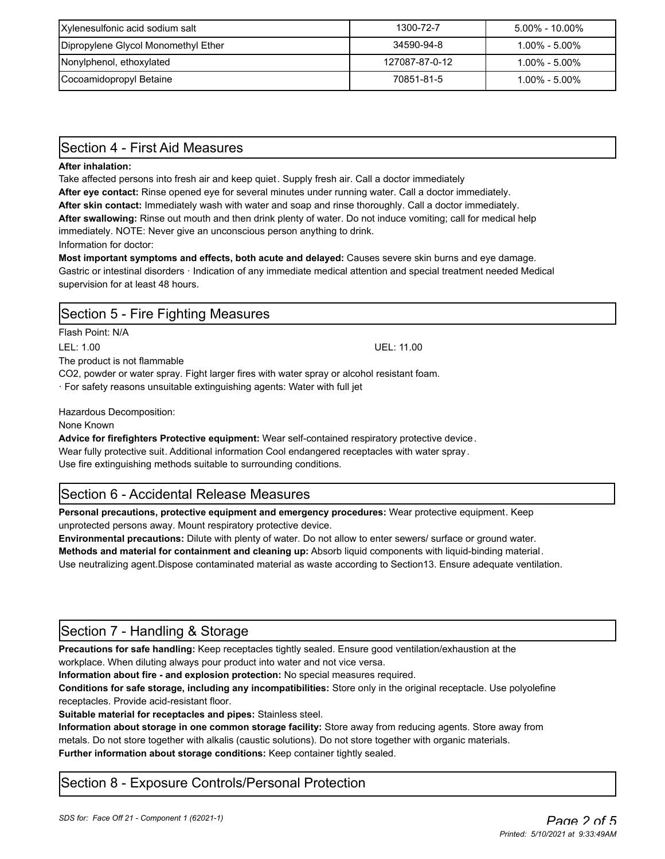| Xylenesulfonic acid sodium salt     | 1300-72-7      | 5.00% - 10.00%      |
|-------------------------------------|----------------|---------------------|
| Dipropylene Glycol Monomethyl Ether | 34590-94-8     | 1.00% - 5.00%       |
| Nonylphenol, ethoxylated            | 127087-87-0-12 | 1.00% - 5.00%       |
| Cocoamidopropyl Betaine             | 70851-81-5     | $1.00\%$ - $5.00\%$ |

## Section 4 - First Aid Measures

### **After inhalation:**

Take affected persons into fresh air and keep quiet. Supply fresh air. Call a doctor immediately

**After eye contact:** Rinse opened eye for several minutes under running water. Call a doctor immediately.

**After skin contact:** Immediately wash with water and soap and rinse thoroughly. Call a doctor immediately.

**After swallowing:** Rinse out mouth and then drink plenty of water. Do not induce vomiting; call for medical help immediately. NOTE: Never give an unconscious person anything to drink.

### Information for doctor:

**Most important symptoms and effects, both acute and delayed:** Causes severe skin burns and eye damage. Gastric or intestinal disorders · Indication of any immediate medical attention and special treatment needed Medical supervision for at least 48 hours.

# Section 5 - Fire Fighting Measures

Flash Point: N/A

LEL: 1.00 UEL: 11.00

The product is not flammable

CO2, powder or water spray. Fight larger fires with water spray or alcohol resistant foam.

· For safety reasons unsuitable extinguishing agents: Water with full jet

Hazardous Decomposition:

None Known

**Advice for firefighters Protective equipment:** Wear self-contained respiratory protective device.

Wear fully protective suit. Additional information Cool endangered receptacles with water spray . Use fire extinguishing methods suitable to surrounding conditions.

# Section 6 - Accidental Release Measures

**Personal precautions, protective equipment and emergency procedures:** Wear protective equipment. Keep unprotected persons away. Mount respiratory protective device.

**Environmental precautions:** Dilute with plenty of water. Do not allow to enter sewers/ surface or ground water.

**Methods and material for containment and cleaning up:** Absorb liquid components with liquid-binding material.

Use neutralizing agent.Dispose contaminated material as waste according to Section13. Ensure adequate ventilation.

# Section 7 - Handling & Storage

**Precautions for safe handling:** Keep receptacles tightly sealed. Ensure good ventilation/exhaustion at the workplace. When diluting always pour product into water and not vice versa.

**Information about fire - and explosion protection:** No special measures required.

**Conditions for safe storage, including any incompatibilities:** Store only in the original receptacle. Use polyolefine receptacles. Provide acid-resistant floor.

**Suitable material for receptacles and pipes:** Stainless steel.

**Information about storage in one common storage facility:** Store away from reducing agents. Store away from metals. Do not store together with alkalis (caustic solutions). Do not store together with organic materials. **Further information about storage conditions:** Keep container tightly sealed.

# Section 8 - Exposure Controls/Personal Protection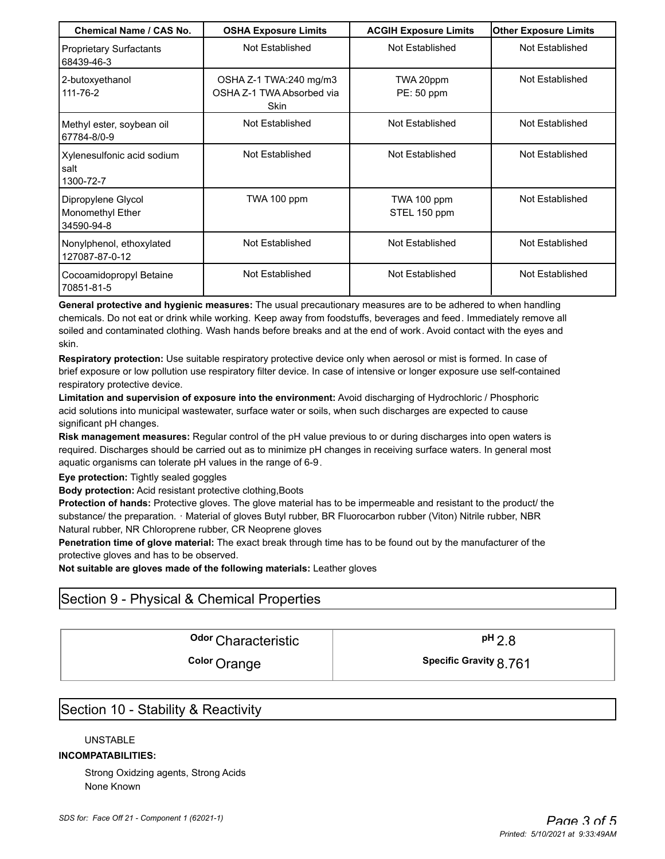| Chemical Name / CAS No.                              | <b>OSHA Exposure Limits</b>                                                                   | <b>ACGIH Exposure Limits</b> | <b>Other Exposure Limits</b> |  |
|------------------------------------------------------|-----------------------------------------------------------------------------------------------|------------------------------|------------------------------|--|
| <b>Proprietary Surfactants</b><br>68439-46-3         | Not Established<br>Not Established                                                            |                              | Not Established              |  |
| 2-butoxyethanol<br>111-76-2                          | OSHA Z-1 TWA:240 mg/m3<br>TWA 20ppm<br>OSHA Z-1 TWA Absorbed via<br>PE: 50 ppm<br><b>Skin</b> |                              | Not Established              |  |
| Methyl ester, soybean oil<br>67784-8/0-9             | Not Established                                                                               | Not Established              | Not Established              |  |
| Xylenesulfonic acid sodium<br>salt<br>1300-72-7      | <b>Not Established</b>                                                                        | Not Established              | Not Established              |  |
| Dipropylene Glycol<br>Monomethyl Ether<br>34590-94-8 | TWA 100 ppm                                                                                   | TWA 100 ppm<br>STEL 150 ppm  | Not Established              |  |
| Nonylphenol, ethoxylated<br>127087-87-0-12           | Not Established                                                                               | Not Established              | Not Established              |  |
| Cocoamidopropyl Betaine<br>70851-81-5                | Not Established                                                                               | Not Established              | Not Established              |  |

**General protective and hygienic measures:** The usual precautionary measures are to be adhered to when handling chemicals. Do not eat or drink while working. Keep away from foodstuffs, beverages and feed. Immediately remove all soiled and contaminated clothing. Wash hands before breaks and at the end of work. Avoid contact with the eyes and skin.

**Respiratory protection:** Use suitable respiratory protective device only when aerosol or mist is formed. In case of brief exposure or low pollution use respiratory filter device. In case of intensive or longer exposure use self-contained respiratory protective device.

**Limitation and supervision of exposure into the environment:** Avoid discharging of Hydrochloric / Phosphoric acid solutions into municipal wastewater, surface water or soils, when such discharges are expected to cause significant pH changes.

**Risk management measures:** Regular control of the pH value previous to or during discharges into open waters is required. Discharges should be carried out as to minimize pH changes in receiving surface waters. In general most aquatic organisms can tolerate pH values in the range of 6-9.

**Eye protection:** Tightly sealed goggles

**Body protection:** Acid resistant protective clothing,Boots

**Protection of hands:** Protective gloves. The glove material has to be impermeable and resistant to the product/ the substance/ the preparation. · Material of gloves Butyl rubber, BR Fluorocarbon rubber (Viton) Nitrile rubber, NBR Natural rubber, NR Chloroprene rubber, CR Neoprene gloves

**Penetration time of glove material:** The exact break through time has to be found out by the manufacturer of the protective gloves and has to be observed.

**Not suitable are gloves made of the following materials:** Leather gloves

# Section 9 - Physical & Chemical Properties

**Odor** Characteristic **Case 2.8 pH** 2.8

**Color**  $\bigcap$  **Color**  $\bigcap$  **Color**  $\bigcap$  **Specific Gravity** 8.761

# Section 10 - Stability & Reactivity

## UNSTABLE

## **INCOMPATABILITIES:**

Strong Oxidzing agents, Strong Acids None Known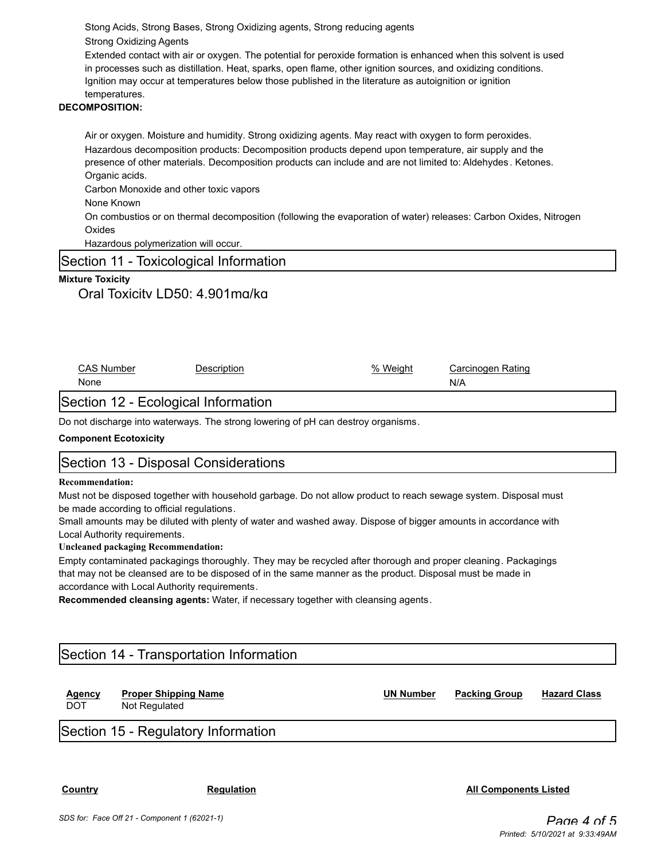Stong Acids, Strong Bases, Strong Oxidizing agents, Strong reducing agents Strong Oxidizing Agents

Extended contact with air or oxygen. The potential for peroxide formation is enhanced when this solvent is used in processes such as distillation. Heat, sparks, open flame, other ignition sources, and oxidizing conditions. Ignition may occur at temperatures below those published in the literature as autoignition or ignition temperatures.

### **DECOMPOSITION:**

Air or oxygen. Moisture and humidity. Strong oxidizing agents. May react with oxygen to form peroxides. Hazardous decomposition products: Decomposition products depend upon temperature, air supply and the presence of other materials. Decomposition products can include and are not limited to: Aldehydes . Ketones. Organic acids.

Carbon Monoxide and other toxic vapors

None Known

On combustios or on thermal decomposition (following the evaporation of water) releases: Carbon Oxides, Nitrogen **Oxides** 

Hazardous polymerization will occur.

## Section 11 - Toxicological Information

## **Mixture Toxicity**

Oral Toxicity LD50: 4,901mg/kg

| ``   | $\mathsf{v}_\mathsf{h}$ | - - - |
|------|-------------------------|-------|
| `าne |                         | N/A   |
|      |                         |       |

# Section 12 - Ecological Information

Do not discharge into waterways. The strong lowering of pH can destroy organisms.

## **Component Ecotoxicity**

## Section 13 - Disposal Considerations

#### **Recommendation:**

Must not be disposed together with household garbage. Do not allow product to reach sewage system. Disposal must be made according to official regulations.

Small amounts may be diluted with plenty of water and washed away. Dispose of bigger amounts in accordance with Local Authority requirements.

#### **Uncleaned packaging Recommendation:**

Empty contaminated packagings thoroughly. They may be recycled after thorough and proper cleaning. Packagings that may not be cleansed are to be disposed of in the same manner as the product. Disposal must be made in accordance with Local Authority requirements.

**Recommended cleansing agents:** Water, if necessary together with cleansing agents.

# Section 14 - Transportation Information

| <b>Agency</b><br><b>DOT</b> | <b>Proper Shipping Name</b><br>Not Regulated | <b>UN Number</b> | <b>Packing Group</b> | <b>Hazard Class</b> |
|-----------------------------|----------------------------------------------|------------------|----------------------|---------------------|
|                             | Section 15 - Regulatory Information          |                  |                      |                     |

**Country Regulation All Components Listed**